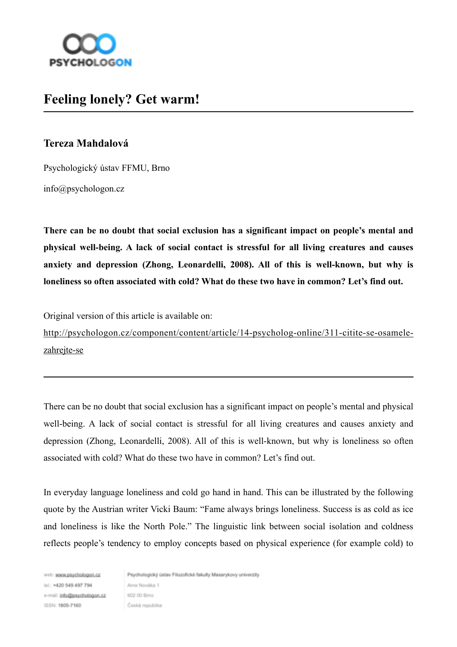

# **Feeling lonely? Get warm!**

## **Tereza Mahdalová**

Psychologický ústav FFMU, Brno

info@psychologon.cz

**There can be no doubt that social exclusion has a significant impact on people's mental and physical well-being. A lack of social contact is stressful for all living creatures and causes anxiety and depression (Zhong, Leonardelli, 2008). All of this is well-known, but why is loneliness so often associated with cold? What do these two have in common? Let's find out.**

Original version of this article is available on:

[http://psychologon.cz/component/content/article/14-psycholog-online/311-citite-se-osamele](http://psychologon.cz/component/content/article/14-psycholog-online/311-citite-se-osamele-zahrejte-se)zahrejte-se

There can be no doubt that social exclusion has a significant impact on people's mental and physical well-being. A lack of social contact is stressful for all living creatures and causes anxiety and depression (Zhong, Leonardelli, 2008). All of this is well-known, but why is loneliness so often associated with cold? What do these two have in common? Let's find out.

In everyday language loneliness and cold go hand in hand. This can be illustrated by the following quote by the Austrian writer Vicki Baum: "Fame always brings loneliness. Success is as cold as ice and loneliness is like the North Pole." The linguistic link between social isolation and coldness reflects people's tendency to employ concepts based on physical experience (for example cold) to

web: www.psychologon.cz tel.: +420 549 497 794 e-mail: info@psychologon.cz ISSN: 1805-7160

Psychologický ústav Filozofické fakulty Masarykovy univerzity Ame Nováka 1 602 00 Bmo Česká republika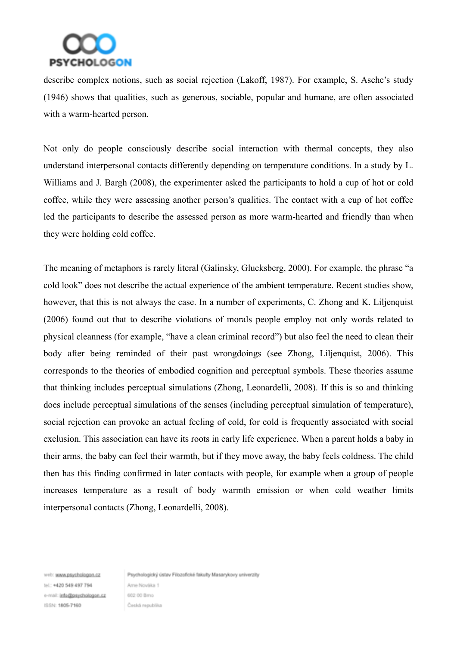

describe complex notions, such as social rejection (Lakoff, 1987). For example, S. Asche's study (1946) shows that qualities, such as generous, sociable, popular and humane, are often associated with a warm-hearted person.

Not only do people consciously describe social interaction with thermal concepts, they also understand interpersonal contacts differently depending on temperature conditions. In a study by L. Williams and J. Bargh (2008), the experimenter asked the participants to hold a cup of hot or cold coffee, while they were assessing another person's qualities. The contact with a cup of hot coffee led the participants to describe the assessed person as more warm-hearted and friendly than when they were holding cold coffee.

The meaning of metaphors is rarely literal (Galinsky, Glucksberg, 2000). For example, the phrase "a cold look" does not describe the actual experience of the ambient temperature. Recent studies show, however, that this is not always the case. In a number of experiments, C. Zhong and K. Liljenquist (2006) found out that to describe violations of morals people employ not only words related to physical cleanness (for example, "have a clean criminal record") but also feel the need to clean their body after being reminded of their past wrongdoings (see Zhong, Liljenquist, 2006). This corresponds to the theories of embodied cognition and perceptual symbols. These theories assume that thinking includes perceptual simulations (Zhong, Leonardelli, 2008). If this is so and thinking does include perceptual simulations of the senses (including perceptual simulation of temperature), social rejection can provoke an actual feeling of cold, for cold is frequently associated with social exclusion. This association can have its roots in early life experience. When a parent holds a baby in their arms, the baby can feel their warmth, but if they move away, the baby feels coldness. The child then has this finding confirmed in later contacts with people, for example when a group of people increases temperature as a result of body warmth emission or when cold weather limits interpersonal contacts (Zhong, Leonardelli, 2008).

web: www.psychologon.cz tel.: +420 549 497 794 a-mail: info@psychologon.cz ISSN: 1805-7160

Psychologický ústav Filozofické fakulty Masarykovy univerzity Ame Nováka 1 602 00 Bmo Česká republika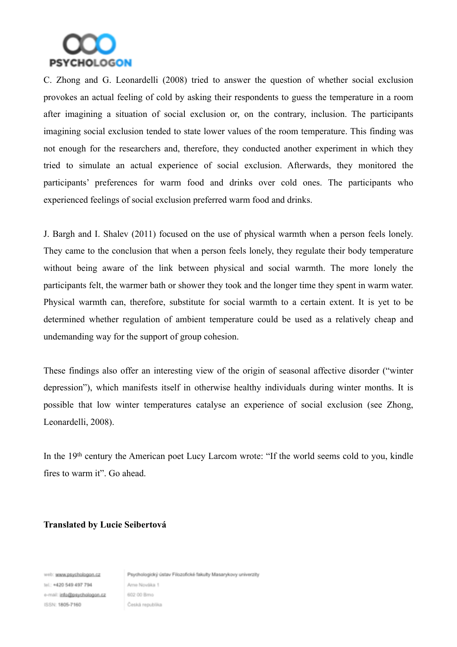

C. Zhong and G. Leonardelli (2008) tried to answer the question of whether social exclusion provokes an actual feeling of cold by asking their respondents to guess the temperature in a room after imagining a situation of social exclusion or, on the contrary, inclusion. The participants imagining social exclusion tended to state lower values of the room temperature. This finding was not enough for the researchers and, therefore, they conducted another experiment in which they tried to simulate an actual experience of social exclusion. Afterwards, they monitored the participants' preferences for warm food and drinks over cold ones. The participants who experienced feelings of social exclusion preferred warm food and drinks.

J. Bargh and I. Shalev (2011) focused on the use of physical warmth when a person feels lonely. They came to the conclusion that when a person feels lonely, they regulate their body temperature without being aware of the link between physical and social warmth. The more lonely the participants felt, the warmer bath or shower they took and the longer time they spent in warm water. Physical warmth can, therefore, substitute for social warmth to a certain extent. It is yet to be determined whether regulation of ambient temperature could be used as a relatively cheap and undemanding way for the support of group cohesion.

These findings also offer an interesting view of the origin of seasonal affective disorder ("winter depression"), which manifests itself in otherwise healthy individuals during winter months. It is possible that low winter temperatures catalyse an experience of social exclusion (see Zhong, Leonardelli, 2008).

In the 19th century the American poet Lucy Larcom wrote: "If the world seems cold to you, kindle fires to warm it". Go ahead.

### **Translated by Lucie Seibertová**

web: www.psychologon.cz tel.: +420 549 497 794 sa.nopolodogogicityi finm-o ISSN: 1805-7160

Psychologický ústav Filozofické fakulty Masarykovy univerzity Ame Nováka 1 602.00 Bmo Česká regublika